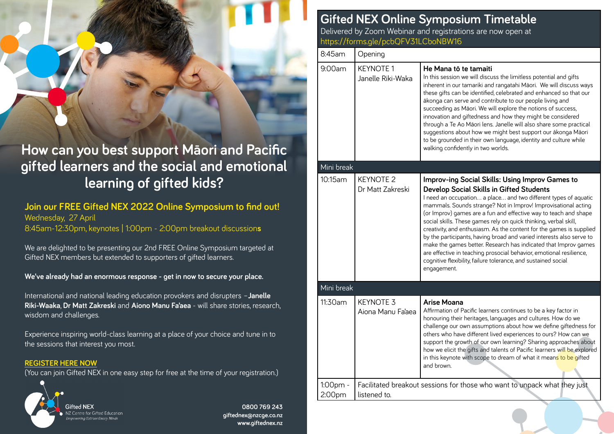# **How can you best support Māori and Pacific gifted learners and the social and emotional learning of gifted kids?**

**Join our FREE Gifted NEX 2022 Online Symposium to find out!** Wednesday, 27 April 8:45am-12:30pm, keynotes | 1:00pm - 2:00pm breakout discussion**s**

We are delighted to be presenting our 2nd FREE Online Symposium targeted at Gifted NEX members but extended to supporters of gifted learners.

**We've already had an enormous response - get in now to secure your place.**

International and national leading education provokers and disrupters –**Janelle Riki-Waaka**, **Dr Matt Zakreski** and **Aiono Manu Fa'aea** - will share stories, research, wisdom and challenges.

Experience inspiring world-class learning at a place of your choice and tune in to the sessions that interest you most.

#### **[REGISTER HERE NOW](https://forms.gle/pcbQFV31LCboNBW16)**

(You can join Gifted NEX in one easy step for free at the time of your registration.)



**0800 769 243 giftednex@nzcge.co.nz www.giftednex.nz**

## **Gifted NEX Online Symposium Timetable**

Delivered by Zoom Webinar and registrations are now open at https://forms.gle/pcbQFV31LCboNBW16

| 8:45am             | Opening                                                                                   |                                                                                                                                                                                                                                                                                                                                                                                                                                                                                                                                                                                                                                                                                                                                                     |
|--------------------|-------------------------------------------------------------------------------------------|-----------------------------------------------------------------------------------------------------------------------------------------------------------------------------------------------------------------------------------------------------------------------------------------------------------------------------------------------------------------------------------------------------------------------------------------------------------------------------------------------------------------------------------------------------------------------------------------------------------------------------------------------------------------------------------------------------------------------------------------------------|
| 9:00am             | <b>KEYNOTE 1</b><br>Janelle Riki-Waka                                                     | He Mana tō te tamaiti<br>In this session we will discuss the limitless potential and gifts<br>inherent in our tamariki and rangatahi Māori. We will discuss ways<br>these gifts can be identified, celebrated and enhanced so that our<br>ākonga can serve and contribute to our people living and<br>succeeding as Māori. We will explore the notions of success,<br>innovation and giftedness and how they might be considered<br>through a Te Ao Māori lens. Janelle will also share some practical<br>suggestions about how we might best support our ākonga Māori<br>to be grounded in their own language, identity and culture while<br>walking confidently in two worlds.                                                                    |
| Mini break         |                                                                                           |                                                                                                                                                                                                                                                                                                                                                                                                                                                                                                                                                                                                                                                                                                                                                     |
| 10:15am            | <b>KEYNOTE 2</b><br>Dr Matt Zakreski                                                      | Improv-ing Social Skills: Using Improv Games to<br>Develop Social Skills in Gifted Students<br>I need an occupation a place and two different types of aquatic<br>mammals. Sounds strange? Not in Improv! Improvisational acting<br>(or Improv) games are a fun and effective way to teach and shape<br>social skills. These games rely on quick thinking, verbal skill,<br>creativity, and enthusiasm. As the content for the games is supplied<br>by the participants, having broad and varied interests also serve to<br>make the games better. Research has indicated that Improv games<br>are effective in teaching prosocial behavior, emotional resilience,<br>cognitive flexibility, failure tolerance, and sustained social<br>engagement. |
| Mini break         |                                                                                           |                                                                                                                                                                                                                                                                                                                                                                                                                                                                                                                                                                                                                                                                                                                                                     |
| 11:30am            | <b>KEYNOTE 3</b><br>Aiona Manu Fa'aea                                                     | Arise Moana<br>Affirmation of Pacific learners continues to be a key factor in<br>honouring their heritages, languages and cultures. How do we<br>challenge our own assumptions about how we define giftedness for<br>others who have different lived experiences to ours? How can we<br>support the growth of our own learning? Sharing approaches about<br>how we elicit the gifts and talents of Pacific learners will be explored<br>in this keynote with scope to dream of what it means to be gifted<br>and brown.                                                                                                                                                                                                                            |
| 1:00pm -<br>2:00pm | Facilitated breakout sessions for those who want to unpack what they just<br>listened to. |                                                                                                                                                                                                                                                                                                                                                                                                                                                                                                                                                                                                                                                                                                                                                     |